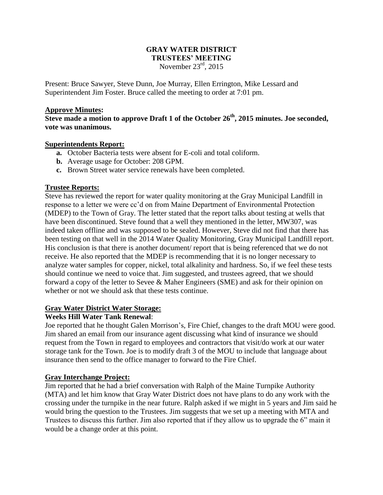### **GRAY WATER DISTRICT TRUSTEES' MEETING** November 23rd, 2015

Present: Bruce Sawyer, Steve Dunn, Joe Murray, Ellen Errington, Mike Lessard and Superintendent Jim Foster. Bruce called the meeting to order at 7:01 pm.

#### **Approve Minutes:**

**Steve made a motion to approve Draft 1 of the October 26th, 2015 minutes. Joe seconded, vote was unanimous.**

#### **Superintendents Report:**

- **a.** October Bacteria tests were absent for E-coli and total coliform.
- **b.** Average usage for October: 208 GPM.
- **c.** Brown Street water service renewals have been completed.

## **Trustee Reports:**

Steve has reviewed the report for water quality monitoring at the Gray Municipal Landfill in response to a letter we were cc'd on from Maine Department of Environmental Protection (MDEP) to the Town of Gray. The letter stated that the report talks about testing at wells that have been discontinued. Steve found that a well they mentioned in the letter, MW307, was indeed taken offline and was supposed to be sealed. However, Steve did not find that there has been testing on that well in the 2014 Water Quality Monitoring, Gray Municipal Landfill report. His conclusion is that there is another document/ report that is being referenced that we do not receive. He also reported that the MDEP is recommending that it is no longer necessary to analyze water samples for copper, nickel, total alkalinity and hardness. So, if we feel these tests should continue we need to voice that. Jim suggested, and trustees agreed, that we should forward a copy of the letter to Sevee & Maher Engineers (SME) and ask for their opinion on whether or not we should ask that these tests continue.

## **Gray Water District Water Storage:**

# **Weeks Hill Water Tank Renewal**:

Joe reported that he thought Galen Morrison's, Fire Chief, changes to the draft MOU were good. Jim shared an email from our insurance agent discussing what kind of insurance we should request from the Town in regard to employees and contractors that visit/do work at our water storage tank for the Town. Joe is to modify draft 3 of the MOU to include that language about insurance then send to the office manager to forward to the Fire Chief.

## **Gray Interchange Project:**

Jim reported that he had a brief conversation with Ralph of the Maine Turnpike Authority (MTA) and let him know that Gray Water District does not have plans to do any work with the crossing under the turnpike in the near future. Ralph asked if we might in 5 years and Jim said he would bring the question to the Trustees. Jim suggests that we set up a meeting with MTA and Trustees to discuss this further. Jim also reported that if they allow us to upgrade the 6" main it would be a change order at this point.